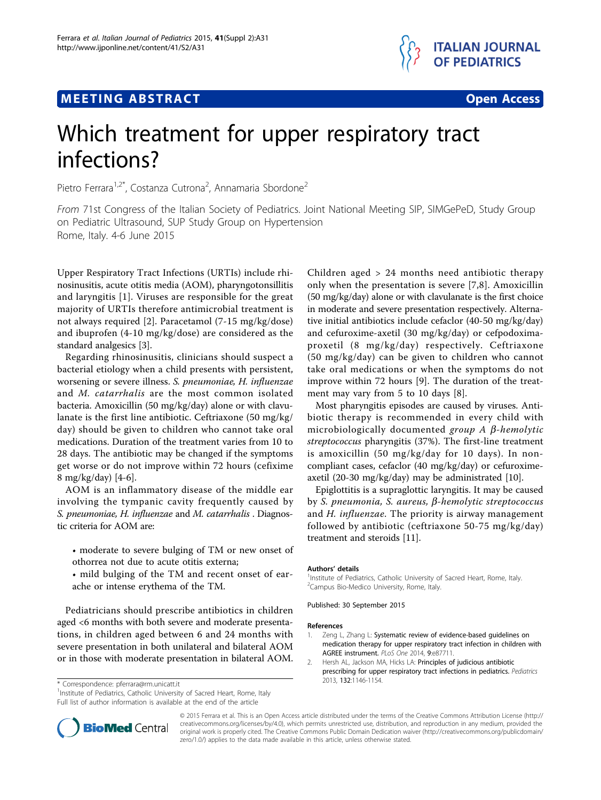## **MEETING ABSTRACT And CONSTRACT CONSTRACT CONSTRACT**



# Which treatment for upper respiratory tract infections?

Pietro Ferrara<sup>1,2\*</sup>, Costanza Cutrona<sup>2</sup>, Annamaria Sbordone<sup>2</sup>

From 71st Congress of the Italian Society of Pediatrics. Joint National Meeting SIP, SIMGePeD, Study Group on Pediatric Ultrasound, SUP Study Group on Hypertension Rome, Italy. 4-6 June 2015

Upper Respiratory Tract Infections (URTIs) include rhinosinusitis, acute otitis media (AOM), pharyngotonsillitis and laryngitis [1]. Viruses are responsible for the great majority of URTIs therefore antimicrobial treatment is not always required [2]. Paracetamol (7-15 mg/kg/dose) and ibuprofen (4-10 mg/kg/dose) are considered as the standard analgesics [[3](#page-1-0)].

Regarding rhinosinusitis, clinicians should suspect a bacterial etiology when a child presents with persistent, worsening or severe illness. S. pneumoniae, H. influenzae and M. catarrhalis are the most common isolated bacteria. Amoxicillin (50 mg/kg/day) alone or with clavulanate is the first line antibiotic. Ceftriaxone (50 mg/kg/ day) should be given to children who cannot take oral medications. Duration of the treatment varies from 10 to 28 days. The antibiotic may be changed if the symptoms get worse or do not improve within 72 hours (cefixime 8 mg/kg/day) [[4-6](#page-1-0)].

AOM is an inflammatory disease of the middle ear involving the tympanic cavity frequently caused by S. pneumoniae, H. influenzae and M. catarrhalis . Diagnostic criteria for AOM are:

- moderate to severe bulging of TM or new onset of othorrea not due to acute otitis externa;
- mild bulging of the TM and recent onset of earache or intense erythema of the TM.

Pediatricians should prescribe antibiotics in children aged <6 months with both severe and moderate presentations, in children aged between 6 and 24 months with severe presentation in both unilateral and bilateral AOM or in those with moderate presentation in bilateral AOM.

2013, <sup>132</sup>:1146-1154. \* Correspondence: [pferrara@rm.unicatt.it](mailto:pferrara@rm.unicatt.it)

<sup>1</sup>Institute of Pediatrics, Catholic University of Sacred Heart, Rome, Italy Full list of author information is available at the end of the article

Children aged > 24 months need antibiotic therapy only when the presentation is severe [\[7,8](#page-1-0)]. Amoxicillin (50 mg/kg/day) alone or with clavulanate is the first choice in moderate and severe presentation respectively. Alternative initial antibiotics include cefaclor (40-50 mg/kg/day) and cefuroxime-axetil (30 mg/kg/day) or cefpodoximaproxetil (8 mg/kg/day) respectively. Ceftriaxone (50 mg/kg/day) can be given to children who cannot take oral medications or when the symptoms do not improve within 72 hours [\[9](#page-1-0)]. The duration of the treatment may vary from 5 to 10 days [[8\]](#page-1-0).

Most pharyngitis episodes are caused by viruses. Antibiotic therapy is recommended in every child with microbiologically documented group  $A$   $\beta$ -hemolytic streptococcus pharyngitis (37%). The first-line treatment is amoxicillin (50 mg/kg/day for 10 days). In noncompliant cases, cefaclor (40 mg/kg/day) or cefuroximeaxetil (20-30 mg/kg/day) may be administrated [\[10\]](#page-1-0).

Epiglottitis is a supraglottic laryngitis. It may be caused by S. pneumonia, S. aureus,  $\beta$ -hemolytic streptococcus and H. influenzae. The priority is airway management followed by antibiotic (ceftriaxone 50-75 mg/kg/day) treatment and steroids [\[11](#page-1-0)].

#### Authors' details <sup>1</sup>

<sup>1</sup> Institute of Pediatrics, Catholic University of Sacred Heart, Rome, Italy. <sup>2</sup> Campus Bio-Medico University, Rome, Italy.

Published: 30 September 2015

#### References

- 1. Zeng L, Zhang L: [Systematic review of evidence-based guidelines on](http://www.ncbi.nlm.nih.gov/pubmed/24586287?dopt=Abstract) [medication therapy for upper respiratory tract infection in children with](http://www.ncbi.nlm.nih.gov/pubmed/24586287?dopt=Abstract) [AGREE instrument.](http://www.ncbi.nlm.nih.gov/pubmed/24586287?dopt=Abstract) PLoS One 2014, 9:e87711.
- 2. Hersh AL, Jackson MA, Hicks LA: [Principles of judicious antibiotic](http://www.ncbi.nlm.nih.gov/pubmed/24249823?dopt=Abstract) [prescribing for upper respiratory tract infections in pediatrics.](http://www.ncbi.nlm.nih.gov/pubmed/24249823?dopt=Abstract) Pediatrics



© 2015 Ferrara et al. This is an Open Access article distributed under the terms of the Creative Commons Attribution License [\(http://](http://creativecommons.org/licenses/by/4.0) [creativecommons.org/licenses/by/4.0](http://creativecommons.org/licenses/by/4.0)), which permits unrestricted use, distribution, and reproduction in any medium, provided the original work is properly cited. The Creative Commons Public Domain Dedication waiver ([http://creativecommons.org/publicdomain/](http://creativecommons.org/publicdomain/zero/1.0/) [zero/1.0/](http://creativecommons.org/publicdomain/zero/1.0/)) applies to the data made available in this article, unless otherwise stated.